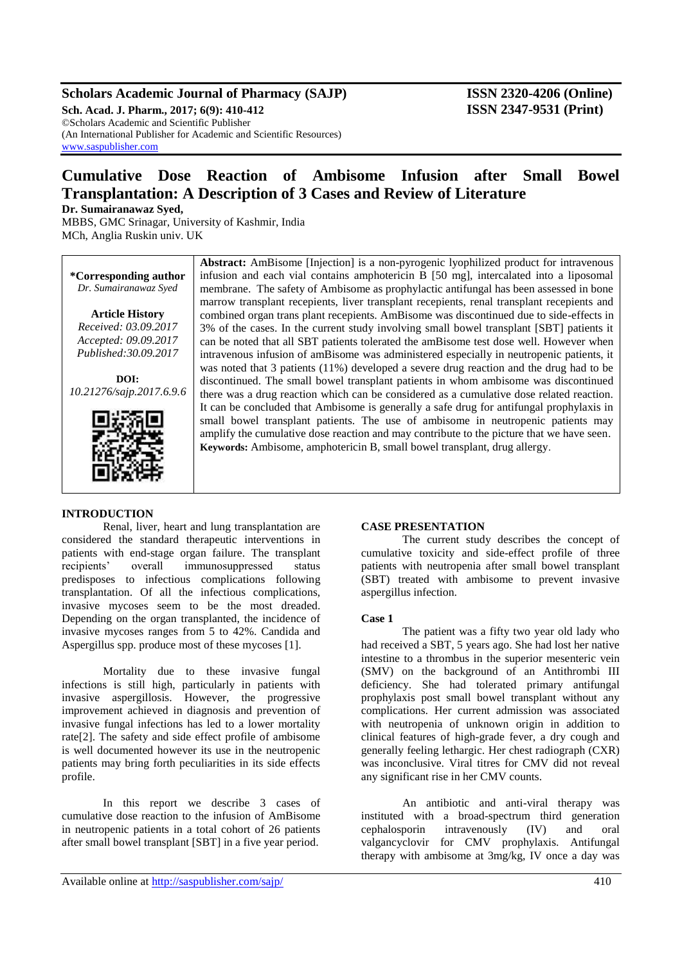# **Scholars Academic Journal of Pharmacy (SAJP) ISSN 2320-4206 (Online)**

**Sch. Acad. J. Pharm., 2017; 6(9): 410-412 ISSN 2347-9531 (Print)** ©Scholars Academic and Scientific Publisher (An International Publisher for Academic and Scientific Resources) [www.saspublisher.com](http://www.saspublisher.com/)

# **Cumulative Dose Reaction of Ambisome Infusion after Small Bowel Transplantation: A Description of 3 Cases and Review of Literature**

**Dr. Sumairanawaz Syed,** 

MBBS, GMC Srinagar, University of Kashmir, India MCh, Anglia Ruskin univ. UK

**\*Corresponding author** *Dr. Sumairanawaz Syed* **Article History** *Received: 03.09.2017 Accepted: 09.09.2017 Published:30.09.2017*

**DOI:** *10.21276/sajp.2017.6.9.6*



# infusion and each vial contains amphotericin B [50 mg], intercalated into a liposomal membrane. The safety of Ambisome as prophylactic antifungal has been assessed in bone marrow transplant recepients, liver transplant recepients, renal transplant recepients and combined organ trans plant recepients. AmBisome was discontinued due to side-effects in 3% of the cases. In the current study involving small bowel transplant [SBT] patients it can be noted that all SBT patients tolerated the amBisome test dose well. However when intravenous infusion of amBisome was administered especially in neutropenic patients, it was noted that 3 patients (11%) developed a severe drug reaction and the drug had to be discontinued. The small bowel transplant patients in whom ambisome was discontinued there was a drug reaction which can be considered as a cumulative dose related reaction. It can be concluded that Ambisome is generally a safe drug for antifungal prophylaxis in small bowel transplant patients. The use of ambisome in neutropenic patients may amplify the cumulative dose reaction and may contribute to the picture that we have seen. **Keywords:** Ambisome, amphotericin B, small bowel transplant, drug allergy.

**Abstract:** AmBisome [Injection] is a non-pyrogenic lyophilized product for intravenous

#### **INTRODUCTION**

Renal, liver, heart and lung transplantation are considered the standard therapeutic interventions in patients with end-stage organ failure. The transplant recipients' overall immunosuppressed status predisposes to infectious complications following transplantation. Of all the infectious complications, invasive mycoses seem to be the most dreaded. Depending on the organ transplanted, the incidence of invasive mycoses ranges from 5 to 42%. Candida and Aspergillus spp. produce most of these mycoses [1].

Mortality due to these invasive fungal infections is still high, particularly in patients with invasive aspergillosis. However, the progressive improvement achieved in diagnosis and prevention of invasive fungal infections has led to a lower mortality rate[2]. The safety and side effect profile of ambisome is well documented however its use in the neutropenic patients may bring forth peculiarities in its side effects profile.

In this report we describe 3 cases of cumulative dose reaction to the infusion of AmBisome in neutropenic patients in a total cohort of 26 patients after small bowel transplant [SBT] in a five year period.

#### **CASE PRESENTATION**

The current study describes the concept of cumulative toxicity and side-effect profile of three patients with neutropenia after small bowel transplant (SBT) treated with ambisome to prevent invasive aspergillus infection.

#### **Case 1**

The patient was a fifty two year old lady who had received a SBT, 5 years ago. She had lost her native intestine to a thrombus in the superior mesenteric vein (SMV) on the background of an Antithrombi III deficiency. She had tolerated primary antifungal prophylaxis post small bowel transplant without any complications. Her current admission was associated with neutropenia of unknown origin in addition to clinical features of high-grade fever, a dry cough and generally feeling lethargic. Her chest radiograph (CXR) was inconclusive. Viral titres for CMV did not reveal any significant rise in her CMV counts.

An antibiotic and anti-viral therapy was instituted with a broad-spectrum third generation cephalosporin intravenously (IV) and oral valgancyclovir for CMV prophylaxis. Antifungal therapy with ambisome at 3mg/kg, IV once a day was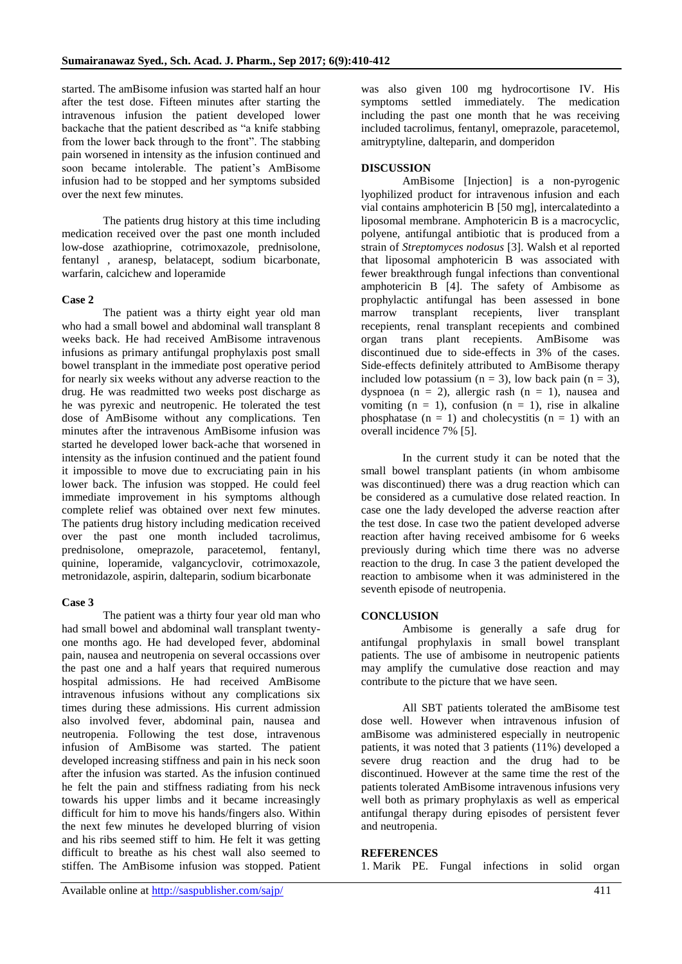started. The amBisome infusion was started half an hour after the test dose. Fifteen minutes after starting the intravenous infusion the patient developed lower backache that the patient described as "a knife stabbing from the lower back through to the front". The stabbing pain worsened in intensity as the infusion continued and soon became intolerable. The patient's AmBisome infusion had to be stopped and her symptoms subsided over the next few minutes.

The patients drug history at this time including medication received over the past one month included low-dose azathioprine, cotrimoxazole, prednisolone, fentanyl , aranesp, belatacept, sodium bicarbonate, warfarin, calcichew and loperamide

### **Case 2**

The patient was a thirty eight year old man who had a small bowel and abdominal wall transplant 8 weeks back. He had received AmBisome intravenous infusions as primary antifungal prophylaxis post small bowel transplant in the immediate post operative period for nearly six weeks without any adverse reaction to the drug. He was readmitted two weeks post discharge as he was pyrexic and neutropenic. He tolerated the test dose of AmBisome without any complications. Ten minutes after the intravenous AmBisome infusion was started he developed lower back-ache that worsened in intensity as the infusion continued and the patient found it impossible to move due to excruciating pain in his lower back. The infusion was stopped. He could feel immediate improvement in his symptoms although complete relief was obtained over next few minutes. The patients drug history including medication received over the past one month included tacrolimus, prednisolone, omeprazole, paracetemol, fentanyl, quinine, loperamide, valgancyclovir, cotrimoxazole, metronidazole, aspirin, dalteparin, sodium bicarbonate

## **Case 3**

The patient was a thirty four year old man who had small bowel and abdominal wall transplant twentyone months ago. He had developed fever, abdominal pain, nausea and neutropenia on several occassions over the past one and a half years that required numerous hospital admissions. He had received AmBisome intravenous infusions without any complications six times during these admissions. His current admission also involved fever, abdominal pain, nausea and neutropenia. Following the test dose, intravenous infusion of AmBisome was started. The patient developed increasing stiffness and pain in his neck soon after the infusion was started. As the infusion continued he felt the pain and stiffness radiating from his neck towards his upper limbs and it became increasingly difficult for him to move his hands/fingers also. Within the next few minutes he developed blurring of vision and his ribs seemed stiff to him. He felt it was getting difficult to breathe as his chest wall also seemed to stiffen. The AmBisome infusion was stopped. Patient was also given 100 mg hydrocortisone IV. His symptoms settled immediately. The medication including the past one month that he was receiving included tacrolimus, fentanyl, omeprazole, paracetemol, amitryptyline, dalteparin, and domperidon

### **DISCUSSION**

AmBisome [Injection] is a non-pyrogenic lyophilized product for intravenous infusion and each vial contains amphotericin B [50 mg], intercalatedinto a liposomal membrane. Amphotericin B is a macrocyclic, polyene, antifungal antibiotic that is produced from a strain of *Streptomyces nodosus* [3]. Walsh et al reported that liposomal amphotericin B was associated with fewer breakthrough fungal infections than conventional amphotericin B [4]. The safety of Ambisome as prophylactic antifungal has been assessed in bone marrow transplant recepients, liver transplant recepients, renal transplant recepients and combined organ trans plant recepients. AmBisome was discontinued due to side-effects in 3% of the cases. Side-effects definitely attributed to AmBisome therapy included low potassium  $(n = 3)$ , low back pain  $(n = 3)$ , dyspnoea ( $n = 2$ ), allergic rash ( $n = 1$ ), nausea and vomiting  $(n = 1)$ , confusion  $(n = 1)$ , rise in alkaline phosphatase  $(n = 1)$  and cholecystitis  $(n = 1)$  with an overall incidence 7% [5].

In the current study it can be noted that the small bowel transplant patients (in whom ambisome was discontinued) there was a drug reaction which can be considered as a cumulative dose related reaction. In case one the lady developed the adverse reaction after the test dose. In case two the patient developed adverse reaction after having received ambisome for 6 weeks previously during which time there was no adverse reaction to the drug. In case 3 the patient developed the reaction to ambisome when it was administered in the seventh episode of neutropenia.

#### **CONCLUSION**

Ambisome is generally a safe drug for antifungal prophylaxis in small bowel transplant patients. The use of ambisome in neutropenic patients may amplify the cumulative dose reaction and may contribute to the picture that we have seen.

All SBT patients tolerated the amBisome test dose well. However when intravenous infusion of amBisome was administered especially in neutropenic patients, it was noted that 3 patients (11%) developed a severe drug reaction and the drug had to be discontinued. However at the same time the rest of the patients tolerated AmBisome intravenous infusions very well both as primary prophylaxis as well as emperical antifungal therapy during episodes of persistent fever and neutropenia.

### **REFERENCES**

1. Marik PE. Fungal infections in solid organ